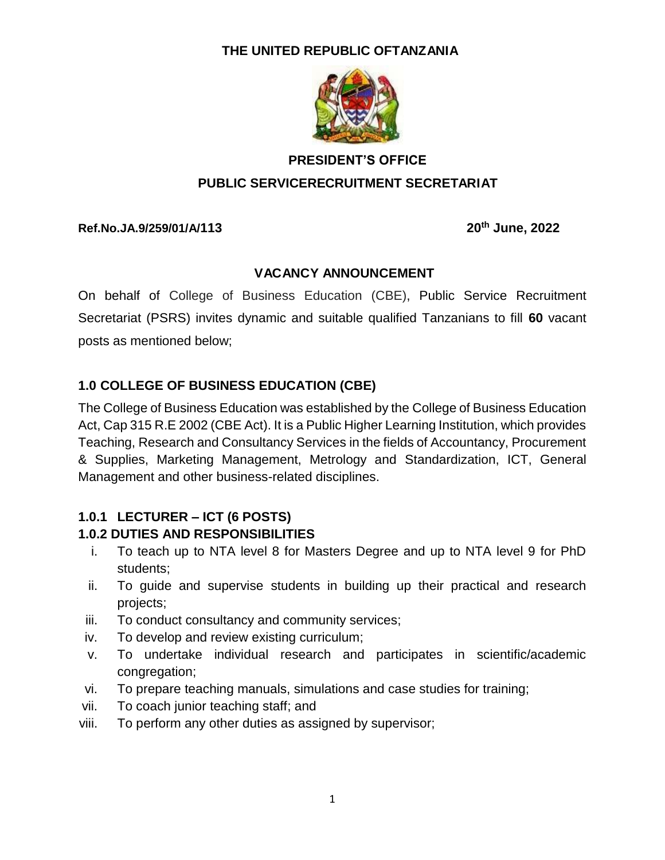## **THE UNITED REPUBLIC OFTANZANIA**



# **PRESIDENT'S OFFICE PUBLIC SERVICERECRUITMENT SECRETARIAT**

**Ref.No.JA.9/259/01/A/113 20th June, 2022**

#### **VACANCY ANNOUNCEMENT**

On behalf of College of Business Education (CBE), Public Service Recruitment Secretariat (PSRS) invites dynamic and suitable qualified Tanzanians to fill **60** vacant posts as mentioned below;

## **1.0 COLLEGE OF BUSINESS EDUCATION (CBE)**

The College of Business Education was established by the College of Business Education Act, Cap 315 R.E 2002 (CBE Act). It is a Public Higher Learning Institution, which provides Teaching, Research and Consultancy Services in the fields of Accountancy, Procurement & Supplies, Marketing Management, Metrology and Standardization, ICT, General Management and other business-related disciplines.

## **1.0.1 LECTURER – ICT (6 POSTS)**

#### **1.0.2 DUTIES AND RESPONSIBILITIES**

- i. To teach up to NTA level 8 for Masters Degree and up to NTA level 9 for PhD students;
- ii. To guide and supervise students in building up their practical and research projects;
- iii. To conduct consultancy and community services;
- iv. To develop and review existing curriculum;
- v. To undertake individual research and participates in scientific/academic congregation;
- vi. To prepare teaching manuals, simulations and case studies for training;
- vii. To coach junior teaching staff; and
- viii. To perform any other duties as assigned by supervisor;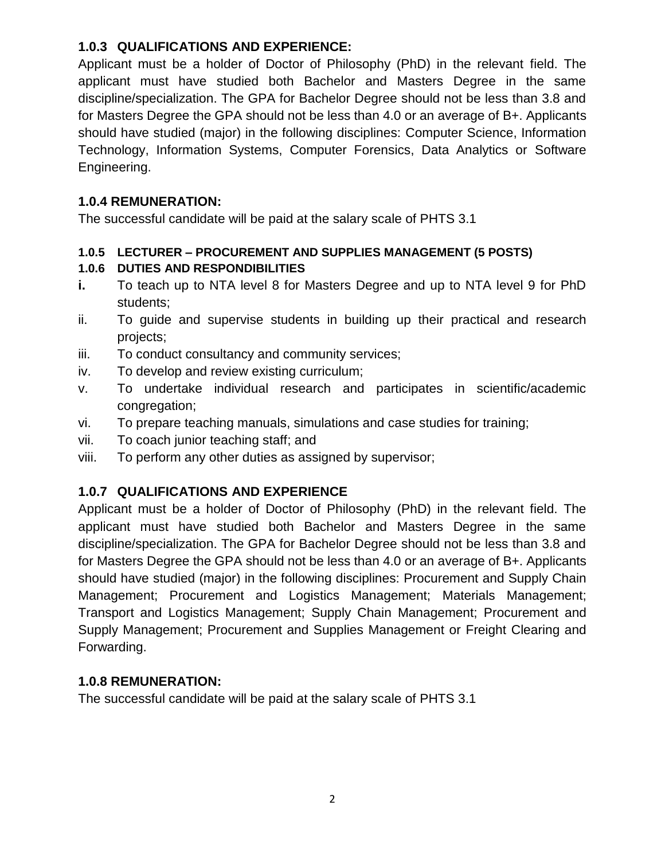### **1.0.3 QUALIFICATIONS AND EXPERIENCE:**

Applicant must be a holder of Doctor of Philosophy (PhD) in the relevant field. The applicant must have studied both Bachelor and Masters Degree in the same discipline/specialization. The GPA for Bachelor Degree should not be less than 3.8 and for Masters Degree the GPA should not be less than 4.0 or an average of B+. Applicants should have studied (major) in the following disciplines: Computer Science, Information Technology, Information Systems, Computer Forensics, Data Analytics or Software Engineering.

#### **1.0.4 REMUNERATION:**

The successful candidate will be paid at the salary scale of PHTS 3.1

#### **1.0.5 LECTURER – PROCUREMENT AND SUPPLIES MANAGEMENT (5 POSTS)**

## **1.0.6 DUTIES AND RESPONDIBILITIES**

- **i.** To teach up to NTA level 8 for Masters Degree and up to NTA level 9 for PhD students;
- ii. To guide and supervise students in building up their practical and research projects;
- iii. To conduct consultancy and community services;
- iv. To develop and review existing curriculum;
- v. To undertake individual research and participates in scientific/academic congregation;
- vi. To prepare teaching manuals, simulations and case studies for training;
- vii. To coach junior teaching staff; and
- viii. To perform any other duties as assigned by supervisor;

## **1.0.7 QUALIFICATIONS AND EXPERIENCE**

Applicant must be a holder of Doctor of Philosophy (PhD) in the relevant field. The applicant must have studied both Bachelor and Masters Degree in the same discipline/specialization. The GPA for Bachelor Degree should not be less than 3.8 and for Masters Degree the GPA should not be less than 4.0 or an average of B+. Applicants should have studied (major) in the following disciplines: Procurement and Supply Chain Management; Procurement and Logistics Management; Materials Management; Transport and Logistics Management; Supply Chain Management; Procurement and Supply Management; Procurement and Supplies Management or Freight Clearing and Forwarding.

## **1.0.8 REMUNERATION:**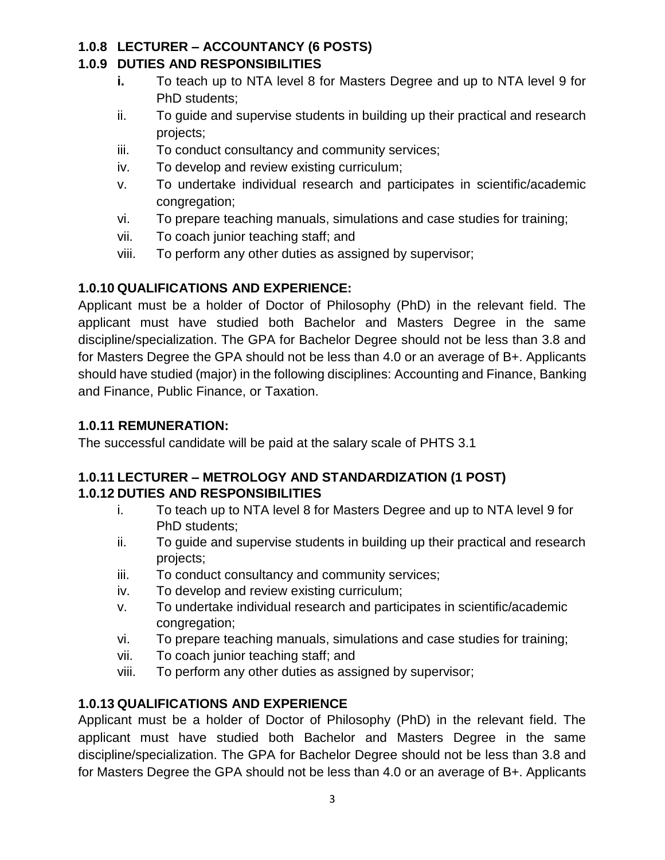## **1.0.8 LECTURER – ACCOUNTANCY (6 POSTS)**

#### **1.0.9 DUTIES AND RESPONSIBILITIES**

- **i.** To teach up to NTA level 8 for Masters Degree and up to NTA level 9 for PhD students;
- ii. To guide and supervise students in building up their practical and research projects;
- iii. To conduct consultancy and community services;
- iv. To develop and review existing curriculum;
- v. To undertake individual research and participates in scientific/academic congregation;
- vi. To prepare teaching manuals, simulations and case studies for training;
- vii. To coach junior teaching staff; and
- viii. To perform any other duties as assigned by supervisor;

## **1.0.10 QUALIFICATIONS AND EXPERIENCE:**

Applicant must be a holder of Doctor of Philosophy (PhD) in the relevant field. The applicant must have studied both Bachelor and Masters Degree in the same discipline/specialization. The GPA for Bachelor Degree should not be less than 3.8 and for Masters Degree the GPA should not be less than 4.0 or an average of B+. Applicants should have studied (major) in the following disciplines: Accounting and Finance, Banking and Finance, Public Finance, or Taxation.

## **1.0.11 REMUNERATION:**

The successful candidate will be paid at the salary scale of PHTS 3.1

#### **1.0.11 LECTURER – METROLOGY AND STANDARDIZATION (1 POST) 1.0.12 DUTIES AND RESPONSIBILITIES**

- i. To teach up to NTA level 8 for Masters Degree and up to NTA level 9 for PhD students;
- ii. To guide and supervise students in building up their practical and research projects;
- iii. To conduct consultancy and community services;
- iv. To develop and review existing curriculum;
- v. To undertake individual research and participates in scientific/academic congregation;
- vi. To prepare teaching manuals, simulations and case studies for training;
- vii. To coach junior teaching staff; and
- viii. To perform any other duties as assigned by supervisor;

## **1.0.13 QUALIFICATIONS AND EXPERIENCE**

Applicant must be a holder of Doctor of Philosophy (PhD) in the relevant field. The applicant must have studied both Bachelor and Masters Degree in the same discipline/specialization. The GPA for Bachelor Degree should not be less than 3.8 and for Masters Degree the GPA should not be less than 4.0 or an average of B+. Applicants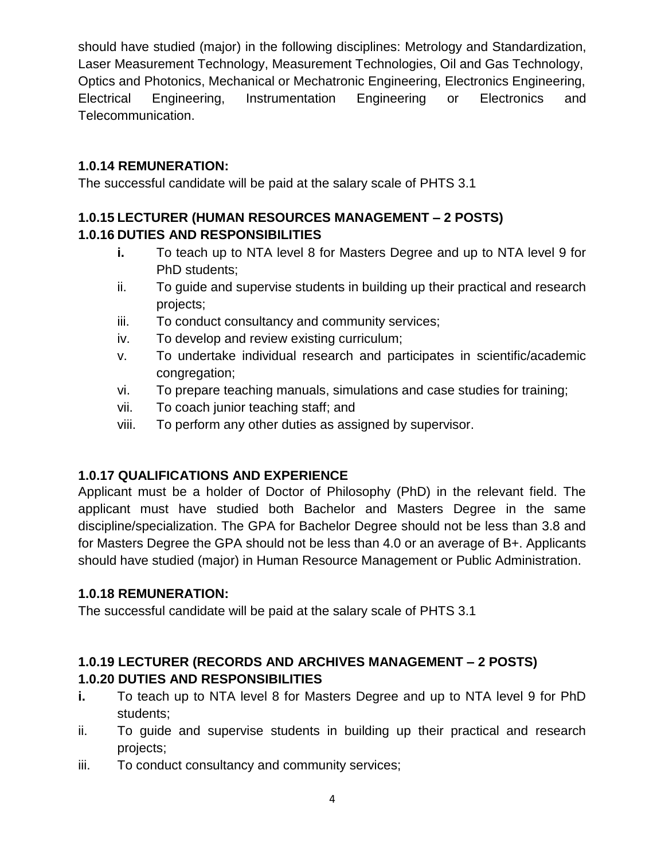should have studied (major) in the following disciplines: Metrology and Standardization, Laser Measurement Technology, Measurement Technologies, Oil and Gas Technology, Optics and Photonics, Mechanical or Mechatronic Engineering, Electronics Engineering, Electrical Engineering, Instrumentation Engineering or Electronics and Telecommunication.

## **1.0.14 REMUNERATION:**

The successful candidate will be paid at the salary scale of PHTS 3.1

# **1.0.15 LECTURER (HUMAN RESOURCES MANAGEMENT – 2 POSTS) 1.0.16 DUTIES AND RESPONSIBILITIES**

- **i.** To teach up to NTA level 8 for Masters Degree and up to NTA level 9 for PhD students;
- ii. To guide and supervise students in building up their practical and research projects;
- iii. To conduct consultancy and community services;
- iv. To develop and review existing curriculum;
- v. To undertake individual research and participates in scientific/academic congregation;
- vi. To prepare teaching manuals, simulations and case studies for training;
- vii. To coach junior teaching staff; and
- viii. To perform any other duties as assigned by supervisor.

# **1.0.17 QUALIFICATIONS AND EXPERIENCE**

Applicant must be a holder of Doctor of Philosophy (PhD) in the relevant field. The applicant must have studied both Bachelor and Masters Degree in the same discipline/specialization. The GPA for Bachelor Degree should not be less than 3.8 and for Masters Degree the GPA should not be less than 4.0 or an average of B+. Applicants should have studied (major) in Human Resource Management or Public Administration.

# **1.0.18 REMUNERATION:**

The successful candidate will be paid at the salary scale of PHTS 3.1

# **1.0.19 LECTURER (RECORDS AND ARCHIVES MANAGEMENT – 2 POSTS) 1.0.20 DUTIES AND RESPONSIBILITIES**

- **i.** To teach up to NTA level 8 for Masters Degree and up to NTA level 9 for PhD students;
- ii. To guide and supervise students in building up their practical and research projects;
- iii. To conduct consultancy and community services;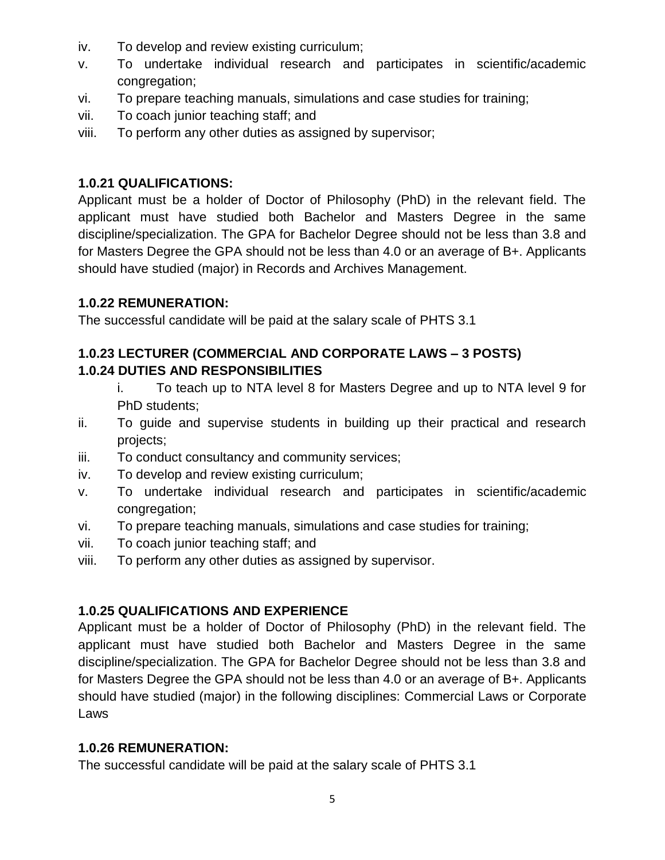- iv. To develop and review existing curriculum;
- v. To undertake individual research and participates in scientific/academic congregation;
- vi. To prepare teaching manuals, simulations and case studies for training;
- vii. To coach junior teaching staff; and
- viii. To perform any other duties as assigned by supervisor;

#### **1.0.21 QUALIFICATIONS:**

Applicant must be a holder of Doctor of Philosophy (PhD) in the relevant field. The applicant must have studied both Bachelor and Masters Degree in the same discipline/specialization. The GPA for Bachelor Degree should not be less than 3.8 and for Masters Degree the GPA should not be less than 4.0 or an average of B+. Applicants should have studied (major) in Records and Archives Management.

#### **1.0.22 REMUNERATION:**

The successful candidate will be paid at the salary scale of PHTS 3.1

#### **1.0.23 LECTURER (COMMERCIAL AND CORPORATE LAWS – 3 POSTS) 1.0.24 DUTIES AND RESPONSIBILITIES**

- i. To teach up to NTA level 8 for Masters Degree and up to NTA level 9 for PhD students;
- ii. To guide and supervise students in building up their practical and research projects;
- iii. To conduct consultancy and community services;
- iv. To develop and review existing curriculum;
- v. To undertake individual research and participates in scientific/academic congregation;
- vi. To prepare teaching manuals, simulations and case studies for training;
- vii. To coach junior teaching staff; and
- viii. To perform any other duties as assigned by supervisor.

#### **1.0.25 QUALIFICATIONS AND EXPERIENCE**

Applicant must be a holder of Doctor of Philosophy (PhD) in the relevant field. The applicant must have studied both Bachelor and Masters Degree in the same discipline/specialization. The GPA for Bachelor Degree should not be less than 3.8 and for Masters Degree the GPA should not be less than 4.0 or an average of B+. Applicants should have studied (major) in the following disciplines: Commercial Laws or Corporate Laws

#### **1.0.26 REMUNERATION:**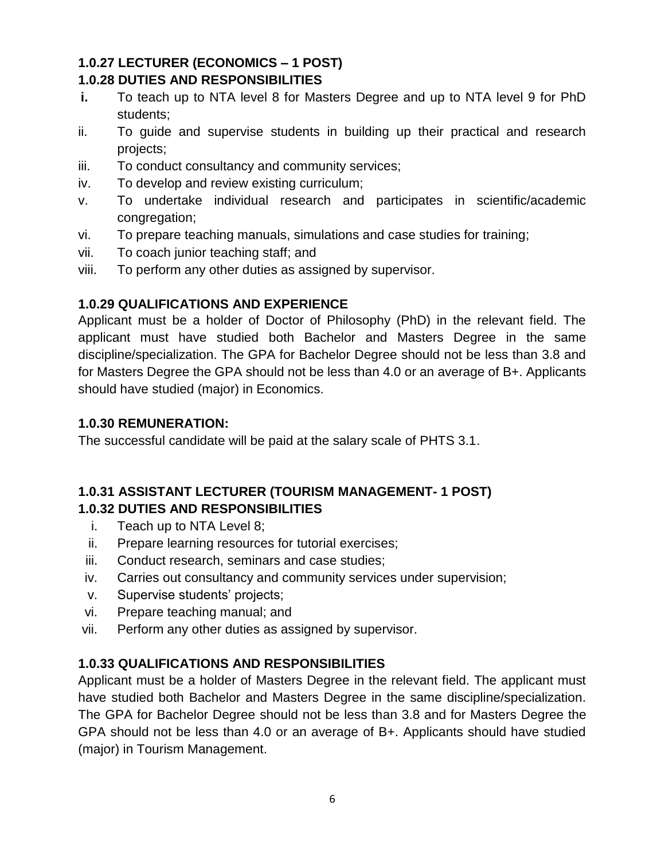#### **1.0.27 LECTURER (ECONOMICS – 1 POST) 1.0.28 DUTIES AND RESPONSIBILITIES**

- **i.** To teach up to NTA level 8 for Masters Degree and up to NTA level 9 for PhD students;
- ii. To guide and supervise students in building up their practical and research projects;
- iii. To conduct consultancy and community services;
- iv. To develop and review existing curriculum;
- v. To undertake individual research and participates in scientific/academic congregation;
- vi. To prepare teaching manuals, simulations and case studies for training;
- vii. To coach junior teaching staff; and
- viii. To perform any other duties as assigned by supervisor.

#### **1.0.29 QUALIFICATIONS AND EXPERIENCE**

Applicant must be a holder of Doctor of Philosophy (PhD) in the relevant field. The applicant must have studied both Bachelor and Masters Degree in the same discipline/specialization. The GPA for Bachelor Degree should not be less than 3.8 and for Masters Degree the GPA should not be less than 4.0 or an average of B+. Applicants should have studied (major) in Economics.

#### **1.0.30 REMUNERATION:**

The successful candidate will be paid at the salary scale of PHTS 3.1.

#### **1.0.31 ASSISTANT LECTURER (TOURISM MANAGEMENT- 1 POST) 1.0.32 DUTIES AND RESPONSIBILITIES**

- i. Teach up to NTA Level 8;
- ii. Prepare learning resources for tutorial exercises;
- iii. Conduct research, seminars and case studies;
- iv. Carries out consultancy and community services under supervision;
- v. Supervise students' projects;
- vi. Prepare teaching manual; and
- vii. Perform any other duties as assigned by supervisor.

## **1.0.33 QUALIFICATIONS AND RESPONSIBILITIES**

Applicant must be a holder of Masters Degree in the relevant field. The applicant must have studied both Bachelor and Masters Degree in the same discipline/specialization. The GPA for Bachelor Degree should not be less than 3.8 and for Masters Degree the GPA should not be less than 4.0 or an average of B+. Applicants should have studied (major) in Tourism Management.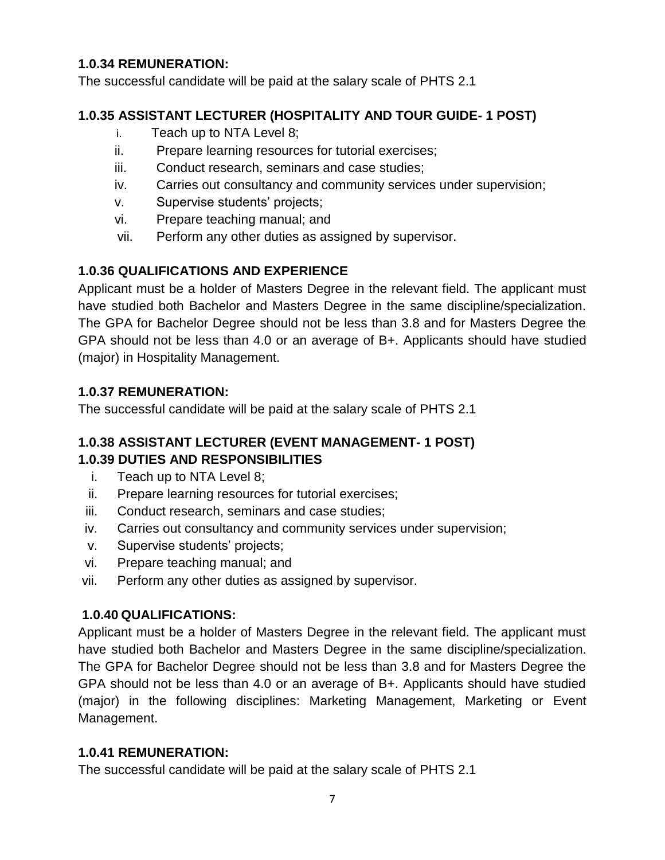#### **1.0.34 REMUNERATION:**

The successful candidate will be paid at the salary scale of PHTS 2.1

## **1.0.35 ASSISTANT LECTURER (HOSPITALITY AND TOUR GUIDE- 1 POST)**

- i. Teach up to NTA Level 8;
- ii. Prepare learning resources for tutorial exercises;
- iii. Conduct research, seminars and case studies;
- iv. Carries out consultancy and community services under supervision;
- v. Supervise students' projects;
- vi. Prepare teaching manual; and
- vii. Perform any other duties as assigned by supervisor.

# **1.0.36 QUALIFICATIONS AND EXPERIENCE**

Applicant must be a holder of Masters Degree in the relevant field. The applicant must have studied both Bachelor and Masters Degree in the same discipline/specialization. The GPA for Bachelor Degree should not be less than 3.8 and for Masters Degree the GPA should not be less than 4.0 or an average of B+. Applicants should have studied (major) in Hospitality Management.

## **1.0.37 REMUNERATION:**

The successful candidate will be paid at the salary scale of PHTS 2.1

## **1.0.38 ASSISTANT LECTURER (EVENT MANAGEMENT- 1 POST) 1.0.39 DUTIES AND RESPONSIBILITIES**

- i. Teach up to NTA Level 8;
- ii. Prepare learning resources for tutorial exercises;
- iii. Conduct research, seminars and case studies;
- iv. Carries out consultancy and community services under supervision;
- v. Supervise students' projects;
- vi. Prepare teaching manual; and
- vii. Perform any other duties as assigned by supervisor.

## **1.0.40 QUALIFICATIONS:**

Applicant must be a holder of Masters Degree in the relevant field. The applicant must have studied both Bachelor and Masters Degree in the same discipline/specialization. The GPA for Bachelor Degree should not be less than 3.8 and for Masters Degree the GPA should not be less than 4.0 or an average of B+. Applicants should have studied (major) in the following disciplines: Marketing Management, Marketing or Event Management.

## **1.0.41 REMUNERATION:**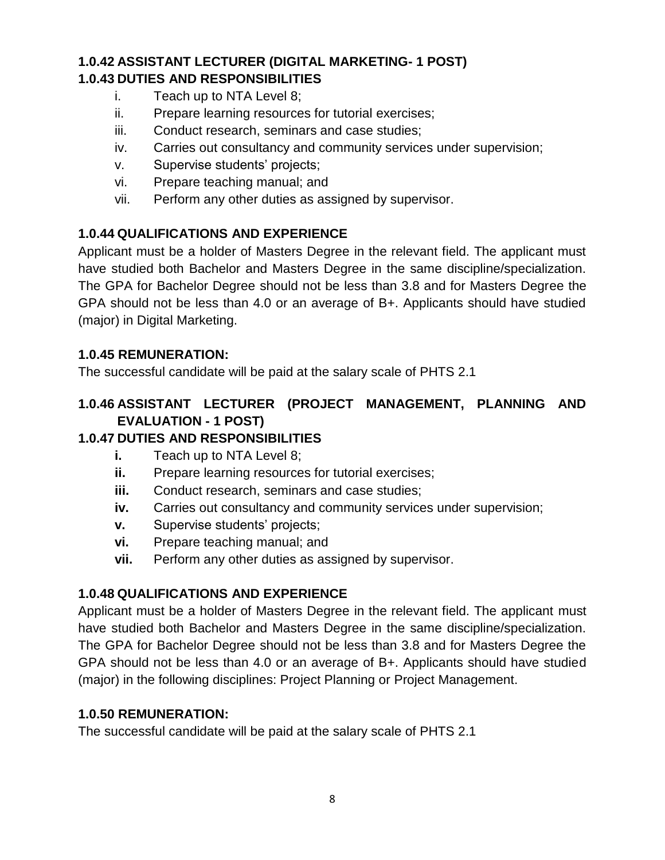# **1.0.42 ASSISTANT LECTURER (DIGITAL MARKETING- 1 POST) 1.0.43 DUTIES AND RESPONSIBILITIES**

- i. Teach up to NTA Level 8;
- ii. Prepare learning resources for tutorial exercises;
- iii. Conduct research, seminars and case studies;
- iv. Carries out consultancy and community services under supervision;
- v. Supervise students' projects;
- vi. Prepare teaching manual; and
- vii. Perform any other duties as assigned by supervisor.

#### **1.0.44 QUALIFICATIONS AND EXPERIENCE**

Applicant must be a holder of Masters Degree in the relevant field. The applicant must have studied both Bachelor and Masters Degree in the same discipline/specialization. The GPA for Bachelor Degree should not be less than 3.8 and for Masters Degree the GPA should not be less than 4.0 or an average of B+. Applicants should have studied (major) in Digital Marketing.

#### **1.0.45 REMUNERATION:**

The successful candidate will be paid at the salary scale of PHTS 2.1

#### **1.0.46 ASSISTANT LECTURER (PROJECT MANAGEMENT, PLANNING AND EVALUATION - 1 POST)**

#### **1.0.47 DUTIES AND RESPONSIBILITIES**

- **i.** Teach up to NTA Level 8;
- **ii.** Prepare learning resources for tutorial exercises;
- **iii.** Conduct research, seminars and case studies;
- **iv.** Carries out consultancy and community services under supervision;
- **v.** Supervise students' projects;
- **vi.** Prepare teaching manual; and
- **vii.** Perform any other duties as assigned by supervisor.

#### **1.0.48 QUALIFICATIONS AND EXPERIENCE**

Applicant must be a holder of Masters Degree in the relevant field. The applicant must have studied both Bachelor and Masters Degree in the same discipline/specialization. The GPA for Bachelor Degree should not be less than 3.8 and for Masters Degree the GPA should not be less than 4.0 or an average of B+. Applicants should have studied (major) in the following disciplines: Project Planning or Project Management.

#### **1.0.50 REMUNERATION:**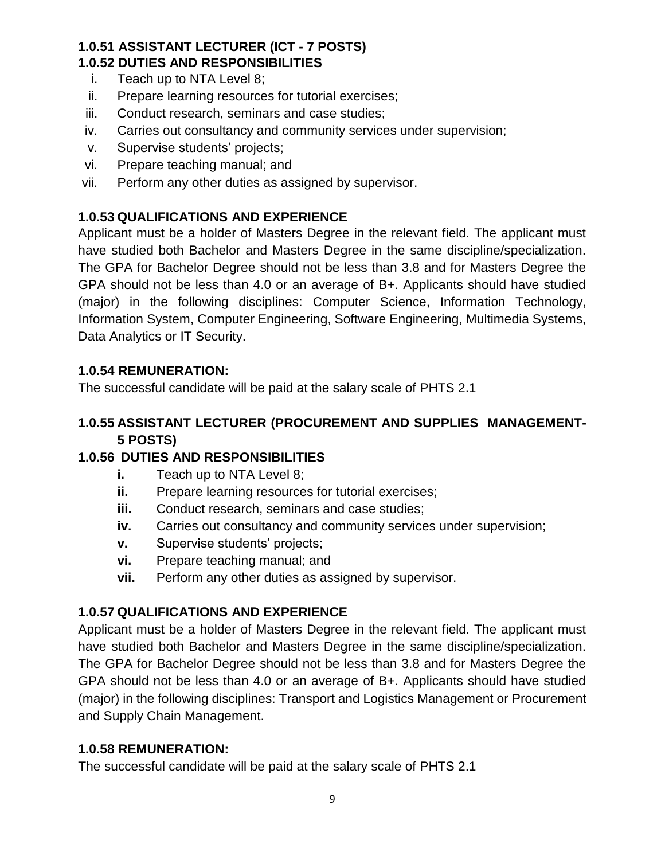#### **1.0.51 ASSISTANT LECTURER (ICT - 7 POSTS) 1.0.52 DUTIES AND RESPONSIBILITIES**

- i. Teach up to NTA Level 8;
- ii. Prepare learning resources for tutorial exercises;
- iii. Conduct research, seminars and case studies;
- iv. Carries out consultancy and community services under supervision;
- v. Supervise students' projects;
- vi. Prepare teaching manual; and
- vii. Perform any other duties as assigned by supervisor.

## **1.0.53 QUALIFICATIONS AND EXPERIENCE**

Applicant must be a holder of Masters Degree in the relevant field. The applicant must have studied both Bachelor and Masters Degree in the same discipline/specialization. The GPA for Bachelor Degree should not be less than 3.8 and for Masters Degree the GPA should not be less than 4.0 or an average of B+. Applicants should have studied (major) in the following disciplines: Computer Science, Information Technology, Information System, Computer Engineering, Software Engineering, Multimedia Systems, Data Analytics or IT Security.

## **1.0.54 REMUNERATION:**

The successful candidate will be paid at the salary scale of PHTS 2.1

#### **1.0.55 ASSISTANT LECTURER (PROCUREMENT AND SUPPLIES MANAGEMENT-5 POSTS)**

## **1.0.56 DUTIES AND RESPONSIBILITIES**

- **i.** Teach up to NTA Level 8;
- **ii.** Prepare learning resources for tutorial exercises;
- **iii.** Conduct research, seminars and case studies;
- **iv.** Carries out consultancy and community services under supervision;
- **v.** Supervise students' projects;
- **vi.** Prepare teaching manual; and
- **vii.** Perform any other duties as assigned by supervisor.

## **1.0.57 QUALIFICATIONS AND EXPERIENCE**

Applicant must be a holder of Masters Degree in the relevant field. The applicant must have studied both Bachelor and Masters Degree in the same discipline/specialization. The GPA for Bachelor Degree should not be less than 3.8 and for Masters Degree the GPA should not be less than 4.0 or an average of B+. Applicants should have studied (major) in the following disciplines: Transport and Logistics Management or Procurement and Supply Chain Management.

## **1.0.58 REMUNERATION:**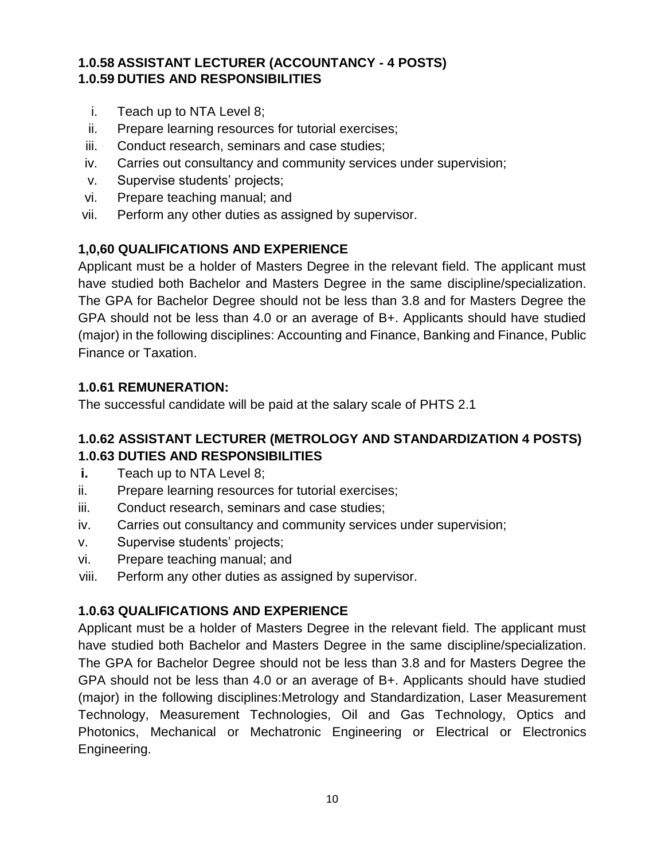### **1.0.58 ASSISTANT LECTURER (ACCOUNTANCY - 4 POSTS) 1.0.59 DUTIES AND RESPONSIBILITIES**

- i. Teach up to NTA Level 8;
- ii. Prepare learning resources for tutorial exercises;
- iii. Conduct research, seminars and case studies;
- iv. Carries out consultancy and community services under supervision;
- v. Supervise students' projects;
- vi. Prepare teaching manual; and
- vii. Perform any other duties as assigned by supervisor.

#### **1,0,60 QUALIFICATIONS AND EXPERIENCE**

Applicant must be a holder of Masters Degree in the relevant field. The applicant must have studied both Bachelor and Masters Degree in the same discipline/specialization. The GPA for Bachelor Degree should not be less than 3.8 and for Masters Degree the GPA should not be less than 4.0 or an average of B+. Applicants should have studied (major) in the following disciplines: Accounting and Finance, Banking and Finance, Public Finance or Taxation.

#### **1.0.61 REMUNERATION:**

The successful candidate will be paid at the salary scale of PHTS 2.1

#### **1.0.62 ASSISTANT LECTURER (METROLOGY AND STANDARDIZATION 4 POSTS) 1.0.63 DUTIES AND RESPONSIBILITIES**

- **i.** Teach up to NTA Level 8;
- ii. Prepare learning resources for tutorial exercises;
- iii. Conduct research, seminars and case studies;
- iv. Carries out consultancy and community services under supervision;
- v. Supervise students' projects;
- vi. Prepare teaching manual; and
- viii. Perform any other duties as assigned by supervisor.

## **1.0.63 QUALIFICATIONS AND EXPERIENCE**

Applicant must be a holder of Masters Degree in the relevant field. The applicant must have studied both Bachelor and Masters Degree in the same discipline/specialization. The GPA for Bachelor Degree should not be less than 3.8 and for Masters Degree the GPA should not be less than 4.0 or an average of B+. Applicants should have studied (major) in the following disciplines:Metrology and Standardization, Laser Measurement Technology, Measurement Technologies, Oil and Gas Technology, Optics and Photonics, Mechanical or Mechatronic Engineering or Electrical or Electronics Engineering.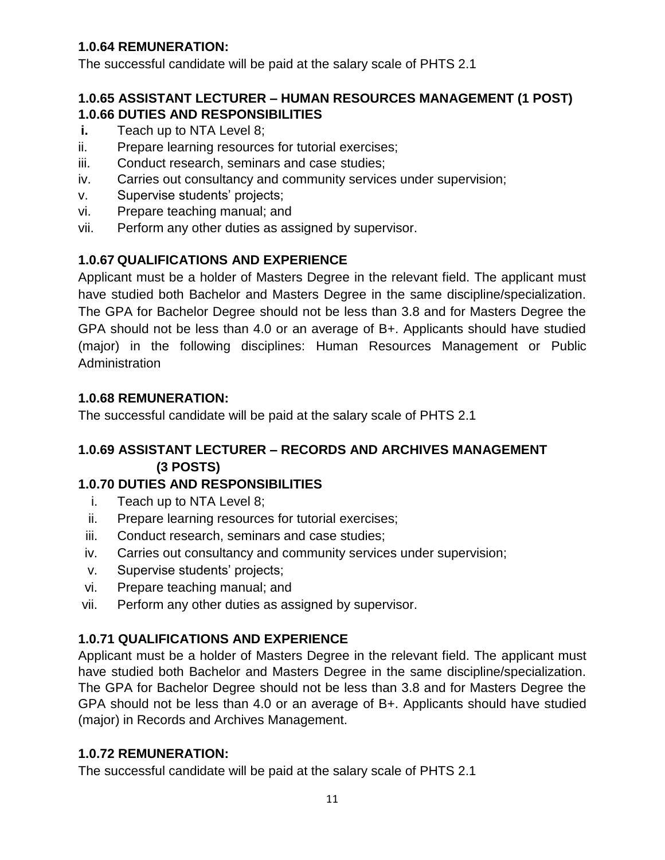## **1.0.64 REMUNERATION:**

The successful candidate will be paid at the salary scale of PHTS 2.1

#### **1.0.65 ASSISTANT LECTURER – HUMAN RESOURCES MANAGEMENT (1 POST) 1.0.66 DUTIES AND RESPONSIBILITIES**

- **i.** Teach up to NTA Level 8;
- ii. Prepare learning resources for tutorial exercises;
- iii. Conduct research, seminars and case studies;
- iv. Carries out consultancy and community services under supervision;
- v. Supervise students' projects;
- vi. Prepare teaching manual; and
- vii. Perform any other duties as assigned by supervisor.

## **1.0.67 QUALIFICATIONS AND EXPERIENCE**

Applicant must be a holder of Masters Degree in the relevant field. The applicant must have studied both Bachelor and Masters Degree in the same discipline/specialization. The GPA for Bachelor Degree should not be less than 3.8 and for Masters Degree the GPA should not be less than 4.0 or an average of B+. Applicants should have studied (major) in the following disciplines: Human Resources Management or Public Administration

#### **1.0.68 REMUNERATION:**

The successful candidate will be paid at the salary scale of PHTS 2.1

# **1.0.69 ASSISTANT LECTURER – RECORDS AND ARCHIVES MANAGEMENT (3 POSTS)**

#### **1.0.70 DUTIES AND RESPONSIBILITIES**

- i. Teach up to NTA Level 8;
- ii. Prepare learning resources for tutorial exercises;
- iii. Conduct research, seminars and case studies;
- iv. Carries out consultancy and community services under supervision;
- v. Supervise students' projects;
- vi. Prepare teaching manual; and
- vii. Perform any other duties as assigned by supervisor.

## **1.0.71 QUALIFICATIONS AND EXPERIENCE**

Applicant must be a holder of Masters Degree in the relevant field. The applicant must have studied both Bachelor and Masters Degree in the same discipline/specialization. The GPA for Bachelor Degree should not be less than 3.8 and for Masters Degree the GPA should not be less than 4.0 or an average of B+. Applicants should have studied (major) in Records and Archives Management.

## **1.0.72 REMUNERATION:**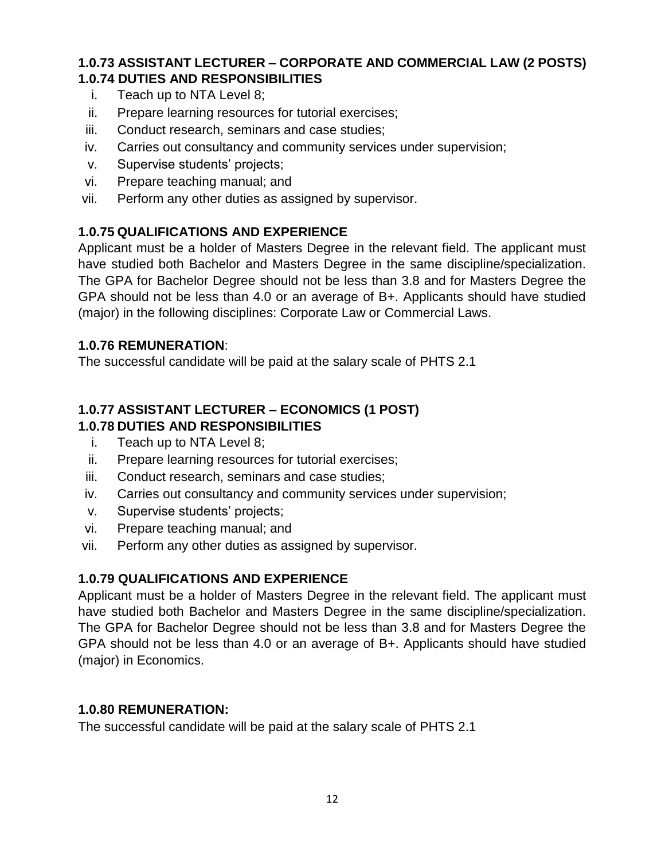#### **1.0.73 ASSISTANT LECTURER – CORPORATE AND COMMERCIAL LAW (2 POSTS) 1.0.74 DUTIES AND RESPONSIBILITIES**

- i. Teach up to NTA Level 8;
- ii. Prepare learning resources for tutorial exercises;
- iii. Conduct research, seminars and case studies;
- iv. Carries out consultancy and community services under supervision;
- v. Supervise students' projects;
- vi. Prepare teaching manual; and
- vii. Perform any other duties as assigned by supervisor.

#### **1.0.75 QUALIFICATIONS AND EXPERIENCE**

Applicant must be a holder of Masters Degree in the relevant field. The applicant must have studied both Bachelor and Masters Degree in the same discipline/specialization. The GPA for Bachelor Degree should not be less than 3.8 and for Masters Degree the GPA should not be less than 4.0 or an average of B+. Applicants should have studied (major) in the following disciplines: Corporate Law or Commercial Laws.

#### **1.0.76 REMUNERATION**:

The successful candidate will be paid at the salary scale of PHTS 2.1

# **1.0.77 ASSISTANT LECTURER – ECONOMICS (1 POST)**

#### **1.0.78 DUTIES AND RESPONSIBILITIES**

- i. Teach up to NTA Level 8;
- ii. Prepare learning resources for tutorial exercises;
- iii. Conduct research, seminars and case studies;
- iv. Carries out consultancy and community services under supervision;
- v. Supervise students' projects;
- vi. Prepare teaching manual; and
- vii. Perform any other duties as assigned by supervisor.

#### **1.0.79 QUALIFICATIONS AND EXPERIENCE**

Applicant must be a holder of Masters Degree in the relevant field. The applicant must have studied both Bachelor and Masters Degree in the same discipline/specialization. The GPA for Bachelor Degree should not be less than 3.8 and for Masters Degree the GPA should not be less than 4.0 or an average of B+. Applicants should have studied (major) in Economics.

#### **1.0.80 REMUNERATION:**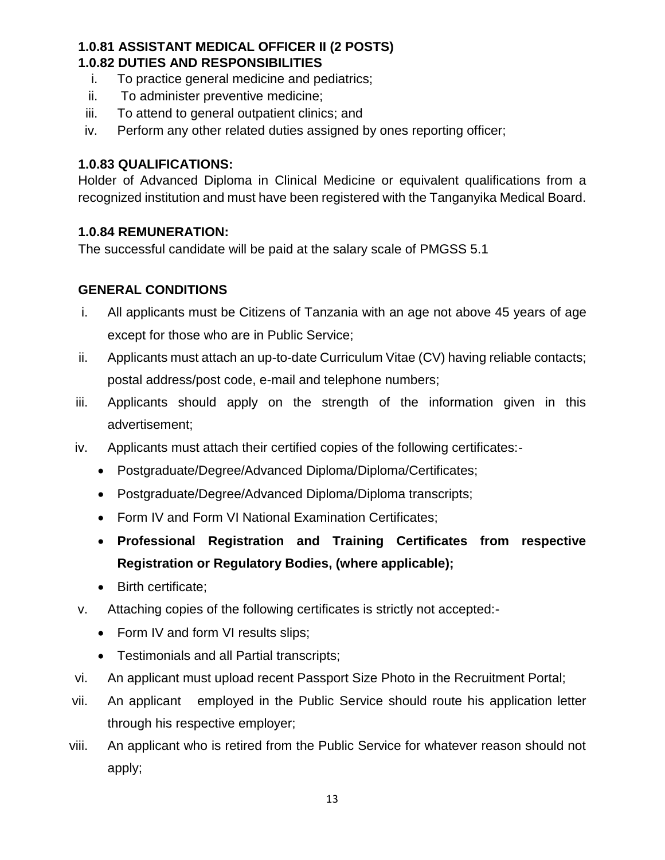#### **1.0.81 ASSISTANT MEDICAL OFFICER II (2 POSTS) 1.0.82 DUTIES AND RESPONSIBILITIES**

- i. To practice general medicine and pediatrics;
- ii. To administer preventive medicine;
- iii. To attend to general outpatient clinics; and
- iv. Perform any other related duties assigned by ones reporting officer;

#### **1.0.83 QUALIFICATIONS:**

Holder of Advanced Diploma in Clinical Medicine or equivalent qualifications from a recognized institution and must have been registered with the Tanganyika Medical Board.

#### **1.0.84 REMUNERATION:**

The successful candidate will be paid at the salary scale of PMGSS 5.1

## **GENERAL CONDITIONS**

- i. All applicants must be Citizens of Tanzania with an age not above 45 years of age except for those who are in Public Service;
- ii. Applicants must attach an up-to-date Curriculum Vitae (CV) having reliable contacts; postal address/post code, e-mail and telephone numbers;
- iii. Applicants should apply on the strength of the information given in this advertisement;
- iv. Applicants must attach their certified copies of the following certificates:-
	- Postgraduate/Degree/Advanced Diploma/Diploma/Certificates;
	- Postgraduate/Degree/Advanced Diploma/Diploma transcripts;
	- Form IV and Form VI National Examination Certificates;
	- **Professional Registration and Training Certificates from respective Registration or Regulatory Bodies, (where applicable);**
	- Birth certificate:
- v. Attaching copies of the following certificates is strictly not accepted:-
	- Form IV and form VI results slips;
	- Testimonials and all Partial transcripts;
- vi. An applicant must upload recent Passport Size Photo in the Recruitment Portal;
- vii. An applicant employed in the Public Service should route his application letter through his respective employer;
- viii. An applicant who is retired from the Public Service for whatever reason should not apply;